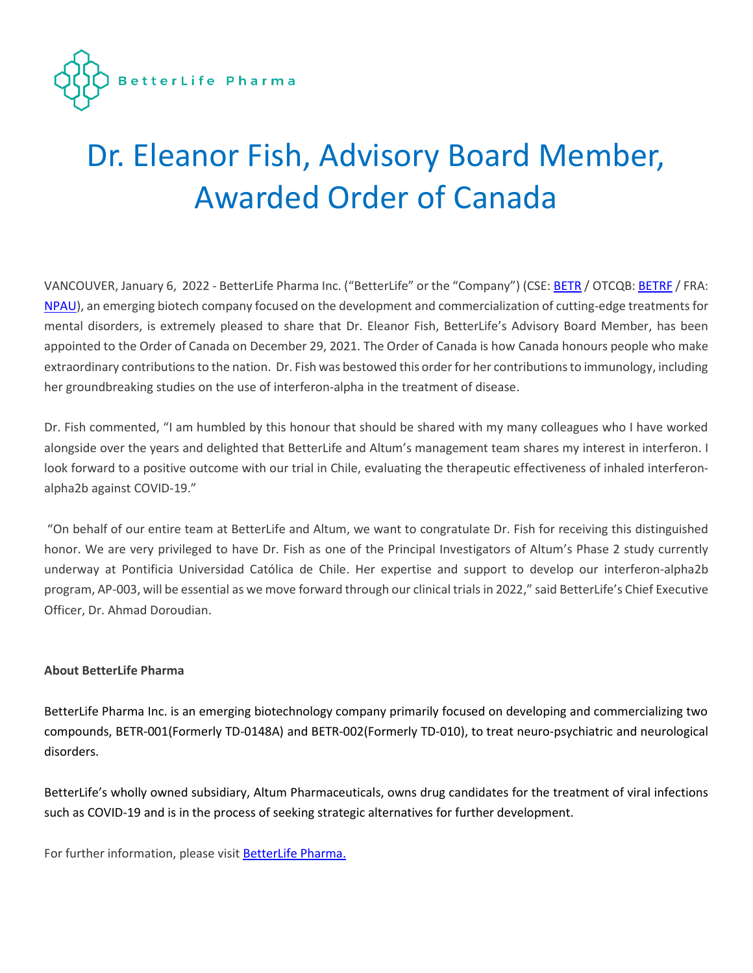

## Dr. Eleanor Fish, Advisory Board Member, Awarded Order of Canada

VANCOUVER, January 6, 2022 - BetterLife Pharma Inc. ("BetterLife" or the "Company") (CSE: [BETR](https://thecse.com/en/listings/life-sciences/betterlife-pharma-inc) / OTCQB: [BETRF](https://www.otcmarkets.com/stock/BETRF/profile) / FRA: [NPAU\)](https://www.tradegate.de/orderbuch.php?lang=en&isin=CA08772P2026), an emerging biotech company focused on the development and commercialization of cutting-edge treatments for mental disorders, is extremely pleased to share that Dr. Eleanor Fish, BetterLife's Advisory Board Member, has been appointed to the Order of Canada on December 29, 2021. The Order of Canada is how Canada honours people who make extraordinary contributions to the nation. Dr. Fish was bestowed this order for her contributions to immunology, including her groundbreaking studies on the use of interferon-alpha in the treatment of disease.

Dr. Fish commented, "I am humbled by this honour that should be shared with my many colleagues who I have worked alongside over the years and delighted that BetterLife and Altum's management team shares my interest in interferon. I look forward to a positive outcome with our trial in Chile, evaluating the therapeutic effectiveness of inhaled interferonalpha2b against COVID-19."

"On behalf of our entire team at BetterLife and Altum, we want to congratulate Dr. Fish for receiving this distinguished honor. We are very privileged to have Dr. Fish as one of the Principal Investigators of Altum's Phase 2 study currently underway at Pontificia Universidad Católica de Chile. Her expertise and support to develop our interferon-alpha2b program, AP-003, will be essential as we move forward through our clinical trials in 2022," said BetterLife's Chief Executive Officer, Dr. Ahmad Doroudian.

## **About BetterLife Pharma**

BetterLife Pharma Inc. is an emerging biotechnology company primarily focused on developing and commercializing two compounds, BETR-001(Formerly TD-0148A) and BETR-002(Formerly TD-010), to treat neuro-psychiatric and neurological disorders.

BetterLife's wholly owned subsidiary, Altum Pharmaceuticals, owns drug candidates for the treatment of viral infections such as COVID-19 and is in the process of seeking strategic alternatives for further development.

For further information, please visi[t BetterLife Pharma.](https://abetterlifepharma.com/)